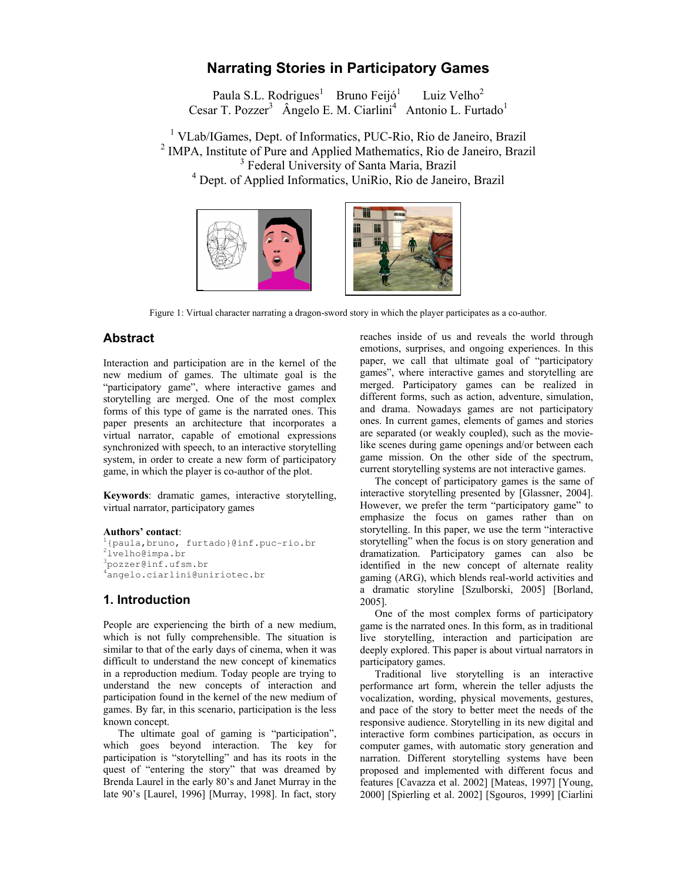# Narrating Stories in Participatory Games

Paula S.L. Rodrigues<sup>1</sup> Bruno Feijó<sup>1</sup> Luiz Velho $2$ Cesar T. Pozzer<sup>3</sup> Ângelo E. M. Ciarlini<sup>4</sup> Antonio L. Furtado<sup>1</sup>

<sup>1</sup> VLab/IGames, Dept. of Informatics, PUC-Rio, Rio de Janeiro, Brazil <sup>2</sup> IMPA, Institute of Pure and Applied Mathematics, Rio de Janeiro, Brazil <sup>3</sup> Federal University of Santa Maria, Brazil 4 Dept. of Applied Informatics, UniRio, Rio de Janeiro, Brazil



Figure 1: Virtual character narrating a dragon-sword story in which the player participates as a co-author.

## Abstract

Interaction and participation are in the kernel of the new medium of games. The ultimate goal is the "participatory game", where interactive games and storytelling are merged. One of the most complex forms of this type of game is the narrated ones. This paper presents an architecture that incorporates a virtual narrator, capable of emotional expressions synchronized with speech, to an interactive storytelling system, in order to create a new form of participatory game, in which the player is co-author of the plot.

Keywords: dramatic games, interactive storytelling, virtual narrator, participatory games

#### Authors' contact:

```
1{paula,bruno, furtado}@inf.puc-rio.br 
2lvelho@impa.br 
<sup>3</sup>pozzer@inf.ufsm.br
<sup>4</sup>angelo.ciarlini@uniriotec.br
```
## 1. Introduction

People are experiencing the birth of a new medium, which is not fully comprehensible. The situation is similar to that of the early days of cinema, when it was difficult to understand the new concept of kinematics in a reproduction medium. Today people are trying to understand the new concepts of interaction and participation found in the kernel of the new medium of games. By far, in this scenario, participation is the less known concept.

 The ultimate goal of gaming is "participation", which goes beyond interaction. The key for participation is "storytelling" and has its roots in the quest of "entering the story" that was dreamed by Brenda Laurel in the early 80's and Janet Murray in the late 90's [Laurel, 1996] [Murray, 1998]. In fact, story reaches inside of us and reveals the world through emotions, surprises, and ongoing experiences. In this paper, we call that ultimate goal of "participatory games", where interactive games and storytelling are merged. Participatory games can be realized in different forms, such as action, adventure, simulation, and drama. Nowadays games are not participatory ones. In current games, elements of games and stories are separated (or weakly coupled), such as the movielike scenes during game openings and/or between each game mission. On the other side of the spectrum, current storytelling systems are not interactive games.

 The concept of participatory games is the same of interactive storytelling presented by [Glassner, 2004]. However, we prefer the term "participatory game" to emphasize the focus on games rather than on storytelling. In this paper, we use the term "interactive storytelling" when the focus is on story generation and dramatization. Participatory games can also be identified in the new concept of alternate reality gaming (ARG), which blends real-world activities and a dramatic storyline [Szulborski, 2005] [Borland, 2005].

 One of the most complex forms of participatory game is the narrated ones. In this form, as in traditional live storytelling, interaction and participation are deeply explored. This paper is about virtual narrators in participatory games.

 Traditional live storytelling is an interactive performance art form, wherein the teller adjusts the vocalization, wording, physical movements, gestures, and pace of the story to better meet the needs of the responsive audience. Storytelling in its new digital and interactive form combines participation, as occurs in computer games, with automatic story generation and narration. Different storytelling systems have been proposed and implemented with different focus and features [Cavazza et al. 2002] [Mateas, 1997] [Young, 2000] [Spierling et al. 2002] [Sgouros, 1999] [Ciarlini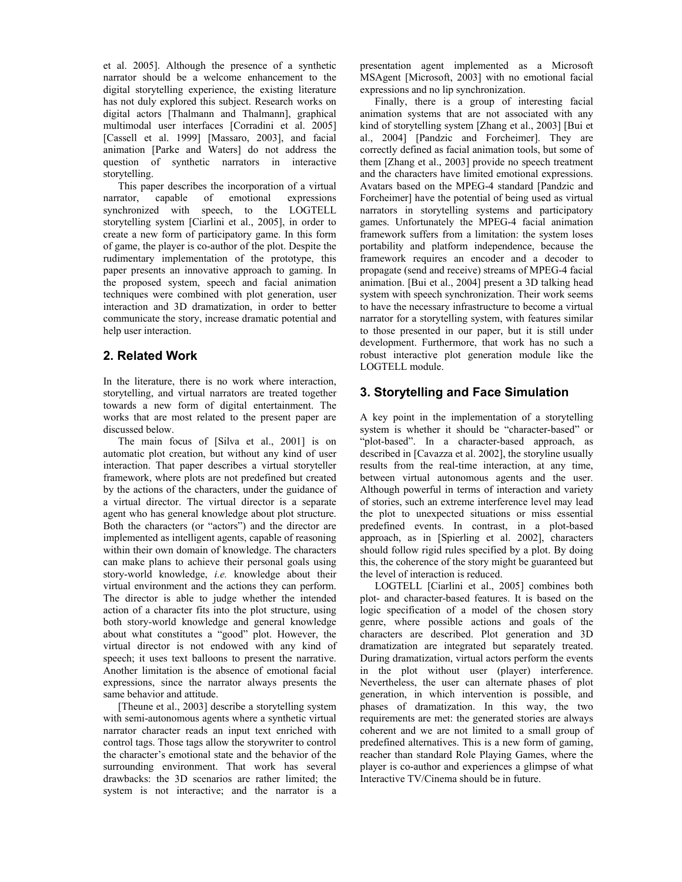et al. 2005]. Although the presence of a synthetic narrator should be a welcome enhancement to the digital storytelling experience, the existing literature has not duly explored this subject. Research works on digital actors [Thalmann and Thalmann], graphical multimodal user interfaces [Corradini et al. 2005] [Cassell et al. 1999] [Massaro, 2003], and facial animation [Parke and Waters] do not address the question of synthetic narrators in interactive storytelling.

 This paper describes the incorporation of a virtual narrator, capable of emotional expressions synchronized with speech, to the LOGTELL storytelling system [Ciarlini et al., 2005], in order to create a new form of participatory game. In this form of game, the player is co-author of the plot. Despite the rudimentary implementation of the prototype, this paper presents an innovative approach to gaming. In the proposed system, speech and facial animation techniques were combined with plot generation, user interaction and 3D dramatization, in order to better communicate the story, increase dramatic potential and help user interaction.

# 2. Related Work

In the literature, there is no work where interaction, storytelling, and virtual narrators are treated together towards a new form of digital entertainment. The works that are most related to the present paper are discussed below.

 The main focus of [Silva et al., 2001] is on automatic plot creation, but without any kind of user interaction. That paper describes a virtual storyteller framework, where plots are not predefined but created by the actions of the characters, under the guidance of a virtual director. The virtual director is a separate agent who has general knowledge about plot structure. Both the characters (or "actors") and the director are implemented as intelligent agents, capable of reasoning within their own domain of knowledge. The characters can make plans to achieve their personal goals using story-world knowledge, i.e. knowledge about their virtual environment and the actions they can perform. The director is able to judge whether the intended action of a character fits into the plot structure, using both story-world knowledge and general knowledge about what constitutes a "good" plot. However, the virtual director is not endowed with any kind of speech; it uses text balloons to present the narrative. Another limitation is the absence of emotional facial expressions, since the narrator always presents the same behavior and attitude.

 [Theune et al., 2003] describe a storytelling system with semi-autonomous agents where a synthetic virtual narrator character reads an input text enriched with control tags. Those tags allow the storywriter to control the character's emotional state and the behavior of the surrounding environment. That work has several drawbacks: the 3D scenarios are rather limited; the system is not interactive; and the narrator is a presentation agent implemented as a Microsoft MSAgent [Microsoft, 2003] with no emotional facial expressions and no lip synchronization.

 Finally, there is a group of interesting facial animation systems that are not associated with any kind of storytelling system [Zhang et al., 2003] [Bui et al., 2004] [Pandzic and Forcheimer]. They are correctly defined as facial animation tools, but some of them [Zhang et al., 2003] provide no speech treatment and the characters have limited emotional expressions. Avatars based on the MPEG-4 standard [Pandzic and Forcheimer] have the potential of being used as virtual narrators in storytelling systems and participatory games. Unfortunately the MPEG-4 facial animation framework suffers from a limitation: the system loses portability and platform independence, because the framework requires an encoder and a decoder to propagate (send and receive) streams of MPEG-4 facial animation. [Bui et al., 2004] present a 3D talking head system with speech synchronization. Their work seems to have the necessary infrastructure to become a virtual narrator for a storytelling system, with features similar to those presented in our paper, but it is still under development. Furthermore, that work has no such a robust interactive plot generation module like the LOGTELL module.

# 3. Storytelling and Face Simulation

A key point in the implementation of a storytelling system is whether it should be "character-based" or "plot-based". In a character-based approach, as described in [Cavazza et al. 2002], the storyline usually results from the real-time interaction, at any time, between virtual autonomous agents and the user. Although powerful in terms of interaction and variety of stories, such an extreme interference level may lead the plot to unexpected situations or miss essential predefined events. In contrast, in a plot-based approach, as in [Spierling et al. 2002], characters should follow rigid rules specified by a plot. By doing this, the coherence of the story might be guaranteed but the level of interaction is reduced.

 LOGTELL [Ciarlini et al., 2005] combines both plot- and character-based features. It is based on the logic specification of a model of the chosen story genre, where possible actions and goals of the characters are described. Plot generation and 3D dramatization are integrated but separately treated. During dramatization, virtual actors perform the events in the plot without user (player) interference. Nevertheless, the user can alternate phases of plot generation, in which intervention is possible, and phases of dramatization. In this way, the two requirements are met: the generated stories are always coherent and we are not limited to a small group of predefined alternatives. This is a new form of gaming, reacher than standard Role Playing Games, where the player is co-author and experiences a glimpse of what Interactive TV/Cinema should be in future.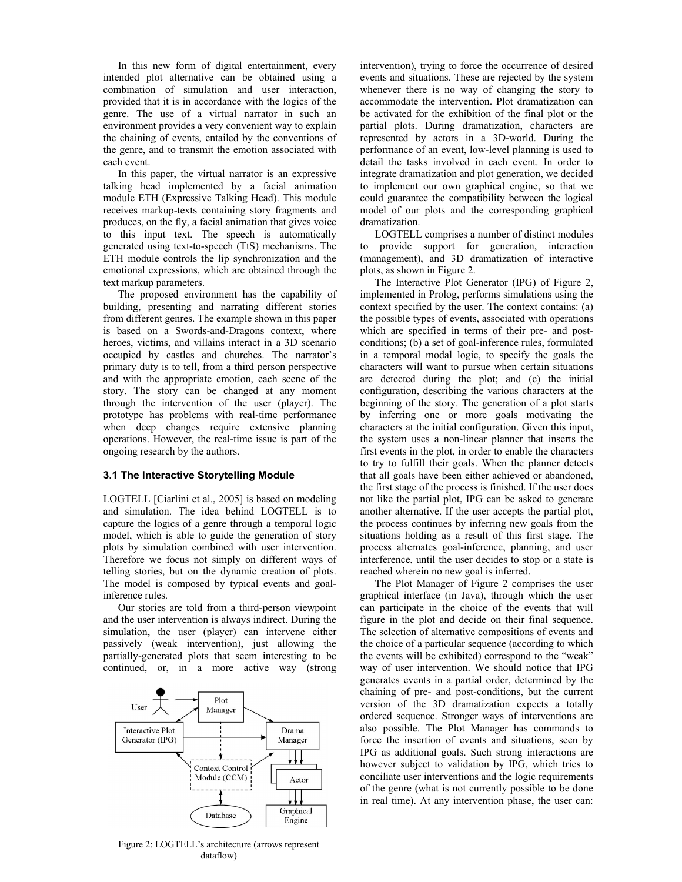In this new form of digital entertainment, every intended plot alternative can be obtained using a combination of simulation and user interaction, provided that it is in accordance with the logics of the genre. The use of a virtual narrator in such an environment provides a very convenient way to explain the chaining of events, entailed by the conventions of the genre, and to transmit the emotion associated with each event.

 In this paper, the virtual narrator is an expressive talking head implemented by a facial animation module ETH (Expressive Talking Head). This module receives markup-texts containing story fragments and produces, on the fly, a facial animation that gives voice to this input text. The speech is automatically generated using text-to-speech (TtS) mechanisms. The ETH module controls the lip synchronization and the emotional expressions, which are obtained through the text markup parameters.

 The proposed environment has the capability of building, presenting and narrating different stories from different genres. The example shown in this paper is based on a Swords-and-Dragons context, where heroes, victims, and villains interact in a 3D scenario occupied by castles and churches. The narrator's primary duty is to tell, from a third person perspective and with the appropriate emotion, each scene of the story. The story can be changed at any moment through the intervention of the user (player). The prototype has problems with real-time performance when deep changes require extensive planning operations. However, the real-time issue is part of the ongoing research by the authors.

#### 3.1 The Interactive Storytelling Module

LOGTELL [Ciarlini et al., 2005] is based on modeling and simulation. The idea behind LOGTELL is to capture the logics of a genre through a temporal logic model, which is able to guide the generation of story plots by simulation combined with user intervention. Therefore we focus not simply on different ways of telling stories, but on the dynamic creation of plots. The model is composed by typical events and goalinference rules.

 Our stories are told from a third-person viewpoint and the user intervention is always indirect. During the simulation, the user (player) can intervene either passively (weak intervention), just allowing the partially-generated plots that seem interesting to be continued, or, in a more active way (strong



Figure 2: LOGTELL's architecture (arrows represent dataflow)

intervention), trying to force the occurrence of desired events and situations. These are rejected by the system whenever there is no way of changing the story to accommodate the intervention. Plot dramatization can be activated for the exhibition of the final plot or the partial plots. During dramatization, characters are represented by actors in a 3D-world. During the performance of an event, low-level planning is used to detail the tasks involved in each event. In order to integrate dramatization and plot generation, we decided to implement our own graphical engine, so that we could guarantee the compatibility between the logical model of our plots and the corresponding graphical dramatization.

 LOGTELL comprises a number of distinct modules to provide support for generation, interaction (management), and 3D dramatization of interactive plots, as shown in Figure 2.

 The Interactive Plot Generator (IPG) of Figure 2, implemented in Prolog, performs simulations using the context specified by the user. The context contains: (a) the possible types of events, associated with operations which are specified in terms of their pre- and postconditions; (b) a set of goal-inference rules, formulated in a temporal modal logic, to specify the goals the characters will want to pursue when certain situations are detected during the plot; and (c) the initial configuration, describing the various characters at the beginning of the story. The generation of a plot starts by inferring one or more goals motivating the characters at the initial configuration. Given this input, the system uses a non-linear planner that inserts the first events in the plot, in order to enable the characters to try to fulfill their goals. When the planner detects that all goals have been either achieved or abandoned, the first stage of the process is finished. If the user does not like the partial plot, IPG can be asked to generate another alternative. If the user accepts the partial plot, the process continues by inferring new goals from the situations holding as a result of this first stage. The process alternates goal-inference, planning, and user interference, until the user decides to stop or a state is reached wherein no new goal is inferred.

 The Plot Manager of Figure 2 comprises the user graphical interface (in Java), through which the user can participate in the choice of the events that will figure in the plot and decide on their final sequence. The selection of alternative compositions of events and the choice of a particular sequence (according to which the events will be exhibited) correspond to the "weak" way of user intervention. We should notice that IPG generates events in a partial order, determined by the chaining of pre- and post-conditions, but the current version of the 3D dramatization expects a totally ordered sequence. Stronger ways of interventions are also possible. The Plot Manager has commands to force the insertion of events and situations, seen by IPG as additional goals. Such strong interactions are however subject to validation by IPG, which tries to conciliate user interventions and the logic requirements of the genre (what is not currently possible to be done in real time). At any intervention phase, the user can: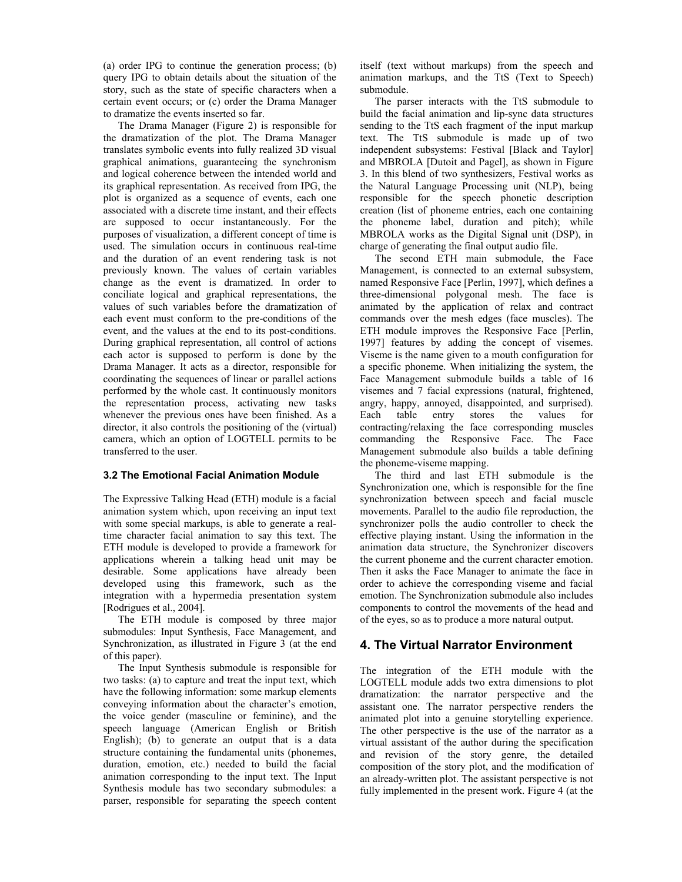(a) order IPG to continue the generation process; (b) query IPG to obtain details about the situation of the story, such as the state of specific characters when a certain event occurs; or (c) order the Drama Manager to dramatize the events inserted so far.

 The Drama Manager (Figure 2) is responsible for the dramatization of the plot. The Drama Manager translates symbolic events into fully realized 3D visual graphical animations, guaranteeing the synchronism and logical coherence between the intended world and its graphical representation. As received from IPG, the plot is organized as a sequence of events, each one associated with a discrete time instant, and their effects are supposed to occur instantaneously. For the purposes of visualization, a different concept of time is used. The simulation occurs in continuous real-time and the duration of an event rendering task is not previously known. The values of certain variables change as the event is dramatized. In order to conciliate logical and graphical representations, the values of such variables before the dramatization of each event must conform to the pre-conditions of the event, and the values at the end to its post-conditions. During graphical representation, all control of actions each actor is supposed to perform is done by the Drama Manager. It acts as a director, responsible for coordinating the sequences of linear or parallel actions performed by the whole cast. It continuously monitors the representation process, activating new tasks whenever the previous ones have been finished. As a director, it also controls the positioning of the (virtual) camera, which an option of LOGTELL permits to be transferred to the user.

#### 3.2 The Emotional Facial Animation Module

The Expressive Talking Head (ETH) module is a facial animation system which, upon receiving an input text with some special markups, is able to generate a realtime character facial animation to say this text. The ETH module is developed to provide a framework for applications wherein a talking head unit may be desirable. Some applications have already been developed using this framework, such as the integration with a hypermedia presentation system [Rodrigues et al., 2004].

 The ETH module is composed by three major submodules: Input Synthesis, Face Management, and Synchronization, as illustrated in Figure 3 (at the end of this paper).

 The Input Synthesis submodule is responsible for two tasks: (a) to capture and treat the input text, which have the following information: some markup elements conveying information about the character's emotion, the voice gender (masculine or feminine), and the speech language (American English or British English); (b) to generate an output that is a data structure containing the fundamental units (phonemes, duration, emotion, etc.) needed to build the facial animation corresponding to the input text. The Input Synthesis module has two secondary submodules: a parser, responsible for separating the speech content itself (text without markups) from the speech and animation markups, and the TtS (Text to Speech) submodule.

 The parser interacts with the TtS submodule to build the facial animation and lip-sync data structures sending to the TtS each fragment of the input markup text. The TtS submodule is made up of two independent subsystems: Festival [Black and Taylor] and MBROLA [Dutoit and Pagel], as shown in Figure 3. In this blend of two synthesizers, Festival works as the Natural Language Processing unit (NLP), being responsible for the speech phonetic description creation (list of phoneme entries, each one containing the phoneme label, duration and pitch); while MBROLA works as the Digital Signal unit (DSP), in charge of generating the final output audio file.

 The second ETH main submodule, the Face Management, is connected to an external subsystem, named Responsive Face [Perlin, 1997], which defines a three-dimensional polygonal mesh. The face is animated by the application of relax and contract commands over the mesh edges (face muscles). The ETH module improves the Responsive Face [Perlin, 1997] features by adding the concept of visemes. Viseme is the name given to a mouth configuration for a specific phoneme. When initializing the system, the Face Management submodule builds a table of 16 visemes and 7 facial expressions (natural, frightened, angry, happy, annoyed, disappointed, and surprised). Each table entry stores the values for contracting/relaxing the face corresponding muscles commanding the Responsive Face. The Face Management submodule also builds a table defining the phoneme-viseme mapping.

 The third and last ETH submodule is the Synchronization one, which is responsible for the fine synchronization between speech and facial muscle movements. Parallel to the audio file reproduction, the synchronizer polls the audio controller to check the effective playing instant. Using the information in the animation data structure, the Synchronizer discovers the current phoneme and the current character emotion. Then it asks the Face Manager to animate the face in order to achieve the corresponding viseme and facial emotion. The Synchronization submodule also includes components to control the movements of the head and of the eyes, so as to produce a more natural output.

## 4. The Virtual Narrator Environment

The integration of the ETH module with the LOGTELL module adds two extra dimensions to plot dramatization: the narrator perspective and the assistant one. The narrator perspective renders the animated plot into a genuine storytelling experience. The other perspective is the use of the narrator as a virtual assistant of the author during the specification and revision of the story genre, the detailed composition of the story plot, and the modification of an already-written plot. The assistant perspective is not fully implemented in the present work. Figure 4 (at the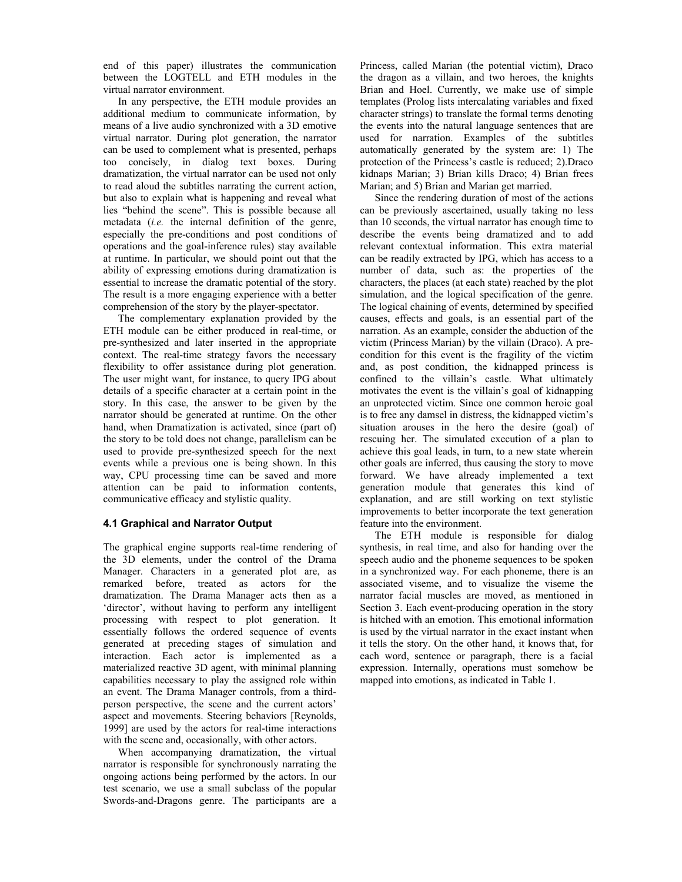end of this paper) illustrates the communication between the LOGTELL and ETH modules in the virtual narrator environment.

 In any perspective, the ETH module provides an additional medium to communicate information, by means of a live audio synchronized with a 3D emotive virtual narrator. During plot generation, the narrator can be used to complement what is presented, perhaps too concisely, in dialog text boxes. During dramatization, the virtual narrator can be used not only to read aloud the subtitles narrating the current action, but also to explain what is happening and reveal what lies "behind the scene". This is possible because all metadata (i.e. the internal definition of the genre, especially the pre-conditions and post conditions of operations and the goal-inference rules) stay available at runtime. In particular, we should point out that the ability of expressing emotions during dramatization is essential to increase the dramatic potential of the story. The result is a more engaging experience with a better comprehension of the story by the player-spectator.

 The complementary explanation provided by the ETH module can be either produced in real-time, or pre-synthesized and later inserted in the appropriate context. The real-time strategy favors the necessary flexibility to offer assistance during plot generation. The user might want, for instance, to query IPG about details of a specific character at a certain point in the story. In this case, the answer to be given by the narrator should be generated at runtime. On the other hand, when Dramatization is activated, since (part of) the story to be told does not change, parallelism can be used to provide pre-synthesized speech for the next events while a previous one is being shown. In this way, CPU processing time can be saved and more attention can be paid to information contents, communicative efficacy and stylistic quality.

#### 4.1 Graphical and Narrator Output

The graphical engine supports real-time rendering of the 3D elements, under the control of the Drama Manager. Characters in a generated plot are, as remarked before, treated as actors for the dramatization. The Drama Manager acts then as a 'director', without having to perform any intelligent processing with respect to plot generation. It essentially follows the ordered sequence of events generated at preceding stages of simulation and interaction. Each actor is implemented as a materialized reactive 3D agent, with minimal planning capabilities necessary to play the assigned role within an event. The Drama Manager controls, from a thirdperson perspective, the scene and the current actors' aspect and movements. Steering behaviors [Reynolds, 1999] are used by the actors for real-time interactions with the scene and, occasionally, with other actors.

 When accompanying dramatization, the virtual narrator is responsible for synchronously narrating the ongoing actions being performed by the actors. In our test scenario, we use a small subclass of the popular Swords-and-Dragons genre. The participants are a Princess, called Marian (the potential victim), Draco the dragon as a villain, and two heroes, the knights Brian and Hoel. Currently, we make use of simple templates (Prolog lists intercalating variables and fixed character strings) to translate the formal terms denoting the events into the natural language sentences that are used for narration. Examples of the subtitles automatically generated by the system are: 1) The protection of the Princess's castle is reduced; 2).Draco kidnaps Marian; 3) Brian kills Draco; 4) Brian frees Marian; and 5) Brian and Marian get married.

 Since the rendering duration of most of the actions can be previously ascertained, usually taking no less than 10 seconds, the virtual narrator has enough time to describe the events being dramatized and to add relevant contextual information. This extra material can be readily extracted by IPG, which has access to a number of data, such as: the properties of the characters, the places (at each state) reached by the plot simulation, and the logical specification of the genre. The logical chaining of events, determined by specified causes, effects and goals, is an essential part of the narration. As an example, consider the abduction of the victim (Princess Marian) by the villain (Draco). A precondition for this event is the fragility of the victim and, as post condition, the kidnapped princess is confined to the villain's castle. What ultimately motivates the event is the villain's goal of kidnapping an unprotected victim. Since one common heroic goal is to free any damsel in distress, the kidnapped victim's situation arouses in the hero the desire (goal) of rescuing her. The simulated execution of a plan to achieve this goal leads, in turn, to a new state wherein other goals are inferred, thus causing the story to move forward. We have already implemented a text generation module that generates this kind of explanation, and are still working on text stylistic improvements to better incorporate the text generation feature into the environment.

 The ETH module is responsible for dialog synthesis, in real time, and also for handing over the speech audio and the phoneme sequences to be spoken in a synchronized way. For each phoneme, there is an associated viseme, and to visualize the viseme the narrator facial muscles are moved, as mentioned in Section 3. Each event-producing operation in the story is hitched with an emotion. This emotional information is used by the virtual narrator in the exact instant when it tells the story. On the other hand, it knows that, for each word, sentence or paragraph, there is a facial expression. Internally, operations must somehow be mapped into emotions, as indicated in Table 1.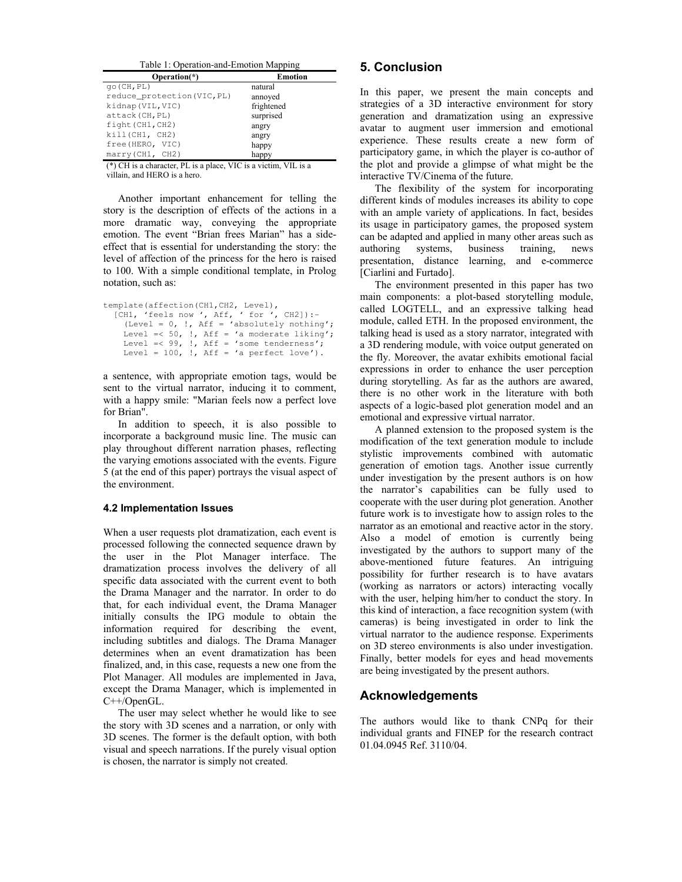| Table 1: Operation-and-Emotion Mapping |                |
|----------------------------------------|----------------|
| Operation $(*)$                        | <b>Emotion</b> |
| $qo$ (CH, PL)                          | natural        |
| reduce_protection(VIC, PL)             | annoved        |
| kidnap (VIL, VIC)                      | frightened     |
| attack (CH, PL)                        | surprised      |
| fight (CH1, CH2)                       | angry          |
| kill(CH1, CH2)                         | angry          |
| free (HERO, VIC)                       | happy          |
| marry (CH1, CH2)                       | happy          |

(\*) CH is a character, PL is a place, VIC is a victim, VIL is a villain, and HERO is a hero.

 Another important enhancement for telling the story is the description of effects of the actions in a more dramatic way, conveying the appropriate emotion. The event "Brian frees Marian" has a sideeffect that is essential for understanding the story: the level of affection of the princess for the hero is raised to 100. With a simple conditional template, in Prolog notation, such as:

```
template(affection(CH1,CH2, Level), 
 [CH1, 'feels now ', Aff, ' for ', CH2]):- 
 (Level = 0, !, Aff = 'absolutely nothing'; 
    Level \leq 50, \therefore Aff = 'a moderate liking';
    Level =< 99, !, Aff = 'some tenderness';
    Level = 100, !, Aff = 'a perfect love').
```
a sentence, with appropriate emotion tags, would be sent to the virtual narrator, inducing it to comment, with a happy smile: "Marian feels now a perfect love for Brian".

 In addition to speech, it is also possible to incorporate a background music line. The music can play throughout different narration phases, reflecting the varying emotions associated with the events. Figure 5 (at the end of this paper) portrays the visual aspect of the environment.

#### 4.2 Implementation Issues

When a user requests plot dramatization, each event is processed following the connected sequence drawn by the user in the Plot Manager interface. The dramatization process involves the delivery of all specific data associated with the current event to both the Drama Manager and the narrator. In order to do that, for each individual event, the Drama Manager initially consults the IPG module to obtain the information required for describing the event, including subtitles and dialogs. The Drama Manager determines when an event dramatization has been finalized, and, in this case, requests a new one from the Plot Manager. All modules are implemented in Java, except the Drama Manager, which is implemented in C++/OpenGL.

 The user may select whether he would like to see the story with 3D scenes and a narration, or only with 3D scenes. The former is the default option, with both visual and speech narrations. If the purely visual option is chosen, the narrator is simply not created.

## 5. Conclusion

In this paper, we present the main concepts and strategies of a 3D interactive environment for story generation and dramatization using an expressive avatar to augment user immersion and emotional experience. These results create a new form of participatory game, in which the player is co-author of the plot and provide a glimpse of what might be the interactive TV/Cinema of the future.

 The flexibility of the system for incorporating different kinds of modules increases its ability to cope with an ample variety of applications. In fact, besides its usage in participatory games, the proposed system can be adapted and applied in many other areas such as authoring systems, business training, news presentation, distance learning, and e-commerce [Ciarlini and Furtado].

 The environment presented in this paper has two main components: a plot-based storytelling module, called LOGTELL, and an expressive talking head module, called ETH. In the proposed environment, the talking head is used as a story narrator, integrated with a 3D rendering module, with voice output generated on the fly. Moreover, the avatar exhibits emotional facial expressions in order to enhance the user perception during storytelling. As far as the authors are awared, there is no other work in the literature with both aspects of a logic-based plot generation model and an emotional and expressive virtual narrator.

 A planned extension to the proposed system is the modification of the text generation module to include stylistic improvements combined with automatic generation of emotion tags. Another issue currently under investigation by the present authors is on how the narrator's capabilities can be fully used to cooperate with the user during plot generation. Another future work is to investigate how to assign roles to the narrator as an emotional and reactive actor in the story. Also a model of emotion is currently being investigated by the authors to support many of the above-mentioned future features. An intriguing possibility for further research is to have avatars (working as narrators or actors) interacting vocally with the user, helping him/her to conduct the story. In this kind of interaction, a face recognition system (with cameras) is being investigated in order to link the virtual narrator to the audience response. Experiments on 3D stereo environments is also under investigation. Finally, better models for eyes and head movements are being investigated by the present authors.

## Acknowledgements

The authors would like to thank CNPq for their individual grants and FINEP for the research contract 01.04.0945 Ref. 3110/04.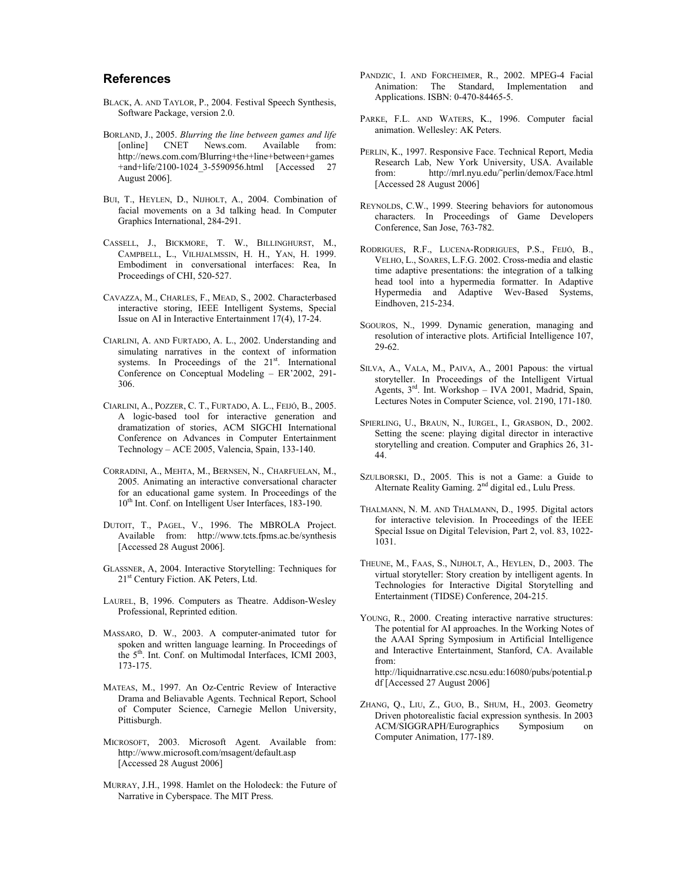#### References

- BLACK, A. AND TAYLOR, P., 2004. Festival Speech Synthesis, Software Package, version 2.0.
- BORLAND, J., 2005. Blurring the line between games and life [online] CNET News.com. Available from: http://news.com.com/Blurring+the+line+between+games +and+life/2100-1024\_3-5590956.html [Accessed 27 August 2006].
- BUI, T., HEYLEN, D., NIJHOLT, A., 2004. Combination of facial movements on a 3d talking head. In Computer Graphics International, 284-291.
- CASSELL, J., BICKMORE, T. W., BILLINGHURST, M., CAMPBELL, L., VILHJALMSSIN, H. H., YAN, H. 1999. Embodiment in conversational interfaces: Rea, In Proceedings of CHI, 520-527.
- CAVAZZA, M., CHARLES, F., MEAD, S., 2002. Characterbased interactive storing, IEEE Intelligent Systems, Special Issue on AI in Interactive Entertainment 17(4), 17-24.
- CIARLINI, A. AND FURTADO, A. L., 2002. Understanding and simulating narratives in the context of information systems. In Proceedings of the 21<sup>st</sup>. International Conference on Conceptual Modeling – ER'2002, 291- 306.
- CIARLINI, A., POZZER, C. T., FURTADO, A. L., FEIJÓ, B., 2005. A logic-based tool for interactive generation and dramatization of stories, ACM SIGCHI International Conference on Advances in Computer Entertainment Technology – ACE 2005, Valencia, Spain, 133-140.
- CORRADINI, A., MEHTA, M., BERNSEN, N., CHARFUELAN, M., 2005. Animating an interactive conversational character for an educational game system. In Proceedings of the 10<sup>th</sup> Int. Conf. on Intelligent User Interfaces, 183-190.
- DUTOIT, T., PAGEL, V., 1996. The MBROLA Project. Available from: http://www.tcts.fpms.ac.be/synthesis [Accessed 28 August 2006].
- GLASSNER, A, 2004. Interactive Storytelling: Techniques for 21<sup>st</sup> Century Fiction. AK Peters, Ltd.
- LAUREL, B, 1996. Computers as Theatre. Addison-Wesley Professional, Reprinted edition.
- MASSARO, D. W., 2003. A computer-animated tutor for spoken and written language learning. In Proceedings of the 5<sup>th</sup>. Int. Conf. on Multimodal Interfaces, ICMI 2003, 173-175.
- MATEAS, M., 1997. An Oz-Centric Review of Interactive Drama and Beliavable Agents. Technical Report, School of Computer Science, Carnegie Mellon University, Pittisburgh.
- MICROSOFT, 2003. Microsoft Agent. Available from: http://www.microsoft.com/msagent/default.asp [Accessed 28 August 2006]
- MURRAY, J.H., 1998. Hamlet on the Holodeck: the Future of Narrative in Cyberspace. The MIT Press.
- PANDZIC, I. AND FORCHEIMER, R., 2002. MPEG-4 Facial Animation: The Standard, Implementation and Applications. ISBN: 0-470-84465-5.
- PARKE, F.L. AND WATERS, K., 1996. Computer facial animation. Wellesley: AK Peters.
- PERLIN, K., 1997. Responsive Face. Technical Report, Media Research Lab, New York University, USA. Available from: http://mrl.nyu.edu/˜perlin/demox/Face.html [Accessed 28 August 2006]
- REYNOLDS, C.W., 1999. Steering behaviors for autonomous characters. In Proceedings of Game Developers Conference, San Jose, 763-782.
- RODRIGUES, R.F., LUCENA-RODRIGUES, P.S., FEIJÓ, B., VELHO, L., SOARES, L.F.G. 2002. Cross-media and elastic time adaptive presentations: the integration of a talking head tool into a hypermedia formatter. In Adaptive Hypermedia and Adaptive Wev-Based Systems, Eindhoven, 215-234.
- SGOUROS, N., 1999. Dynamic generation, managing and resolution of interactive plots. Artificial Intelligence 107, 29-62.
- SILVA, A., VALA, M., PAIVA, A., 2001 Papous: the virtual storyteller. In Proceedings of the Intelligent Virtual Agents, 3rd. Int. Workshop – IVA 2001, Madrid, Spain, Lectures Notes in Computer Science, vol. 2190, 171-180.
- SPIERLING, U., BRAUN, N., IURGEL, I., GRASBON, D., 2002. Setting the scene: playing digital director in interactive storytelling and creation. Computer and Graphics 26, 31- 44.
- SZULBORSKI, D., 2005. This is not a Game: a Guide to Alternate Reality Gaming.  $2<sup>nd</sup>$  digital ed., Lulu Press.
- THALMANN, N. M. AND THALMANN, D., 1995. Digital actors for interactive television. In Proceedings of the IEEE Special Issue on Digital Television, Part 2, vol. 83, 1022- 1031.
- THEUNE, M., FAAS, S., NIJHOLT, A., HEYLEN, D., 2003. The virtual storyteller: Story creation by intelligent agents. In Technologies for Interactive Digital Storytelling and Entertainment (TIDSE) Conference, 204-215.
- YOUNG, R., 2000. Creating interactive narrative structures: The potential for AI approaches. In the Working Notes of the AAAI Spring Symposium in Artificial Intelligence and Interactive Entertainment, Stanford, CA. Available from: http://liquidnarrative.csc.ncsu.edu:16080/pubs/potential.p df [Accessed 27 August 2006]
- ZHANG, Q., LIU, Z., GUO, B., SHUM, H., 2003. Geometry Driven photorealistic facial expression synthesis. In 2003 ACM/SIGGRAPH/Eurographics Symposium on Computer Animation, 177-189.